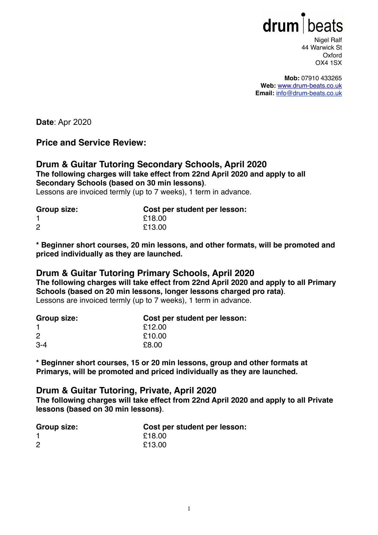# drum beat

Nigel Ralf 44 Warwick St **Oxford** OX4 1SX

**Mob:** 07910 433265 **Web:** [www.drum-beats.co.uk](http://www.drum-beats.co.uk/) **Email:** [info@drum-beats.co.uk](mailto:info@drum-beats.co.uk)

**Date**: Apr 2020

## **Price and Service Review:**

# **Drum & Guitar Tutoring Secondary Schools, April 2020**

**The following charges will take effect from 22nd April 2020 and apply to all Secondary Schools (based on 30 min lessons)**.

Lessons are invoiced termly (up to 7 weeks), 1 term in advance.

| Group size:    | Cost per student per lesson: |
|----------------|------------------------------|
|                | £18.00                       |
| $\overline{2}$ | £13.00                       |

**\* Beginner short courses, 20 min lessons, and other formats, will be promoted and priced individually as they are launched.** 

## **Drum & Guitar Tutoring Primary Schools, April 2020**

**The following charges will take effect from 22nd April 2020 and apply to all Primary Schools (based on 20 min lessons, longer lessons charged pro rata)**.

Lessons are invoiced termly (up to 7 weeks), 1 term in advance.

| Group size: | Cost per student per lesson: |
|-------------|------------------------------|
|             | £12.00                       |
| 2           | £10.00                       |
| $3 - 4$     | £8.00                        |

**\* Beginner short courses, 15 or 20 min lessons, group and other formats at Primarys, will be promoted and priced individually as they are launched.** 

#### **Drum & Guitar Tutoring, Private, April 2020**

**The following charges will take effect from 22nd April 2020 and apply to all Private lessons (based on 30 min lessons)**.

| Group size:    | Cost per student per lesson: |
|----------------|------------------------------|
|                | £18.00                       |
| $\overline{2}$ | £13.00                       |